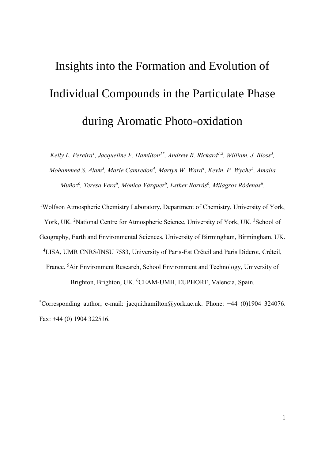# Insights into the Formation and Evolution of Individual Compounds in the Particulate Phase during Aromatic Photo-oxidation

Kelly L. Pereira<sup>1</sup>, Jacqueline F. Hamilton<sup>1\*</sup>, Andrew R. Rickard<sup>1,2</sup>, William. J. Bloss<sup>3</sup>, *Mohammed S. Alam<sup>3</sup> , Marie Camredon<sup>4</sup> , Martyn W. Ward<sup>1</sup> , Kevin. P. Wyche<sup>5</sup> , Amalia Muñoz<sup>6</sup> , Teresa Vera<sup>6</sup> , Mónica Vázquez<sup>6</sup> , Esther Borrás 6 , Milagros Ródenas<sup>6</sup>* .

<sup>1</sup>Wolfson Atmospheric Chemistry Laboratory, Department of Chemistry, University of York, York, UK. <sup>2</sup>National Centre for Atmospheric Science, University of York, UK. <sup>3</sup>School of Geography, Earth and Environmental Sciences, University of Birmingham, Birmingham, UK. <sup>4</sup>LISA, UMR CNRS/INSU 7583, University of Paris-Est Créteil and Paris Diderot, Créteil, France. <sup>5</sup>Air Environment Research, School Environment and Technology, University of Brighton, Brighton, UK. <sup>6</sup>CEAM-UMH, EUPHORE, Valencia, Spain.

\*Corresponding author; e-mail: jacqui.hamilton@york.ac.uk. Phone: +44 (0)1904 324076. Fax: +44 (0) 1904 322516.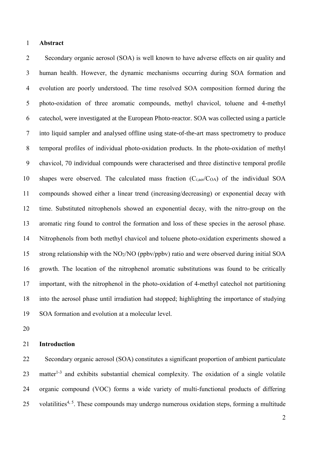## **Abstract**

 Secondary organic aerosol (SOA) is well known to have adverse effects on air quality and human health. However, the dynamic mechanisms occurring during SOA formation and evolution are poorly understood. The time resolved SOA composition formed during the photo-oxidation of three aromatic compounds, methyl chavicol, toluene and 4-methyl catechol, were investigated at the European Photo-reactor. SOA was collected using a particle into liquid sampler and analysed offline using state-of-the-art mass spectrometry to produce temporal profiles of individual photo-oxidation products. In the photo-oxidation of methyl chavicol, 70 individual compounds were characterised and three distinctive temporal profile 10 shapes were observed. The calculated mass fraction  $(C_{i, \text{der}}/C_{OA})$  of the individual SOA compounds showed either a linear trend (increasing/decreasing) or exponential decay with time. Substituted nitrophenols showed an exponential decay, with the nitro-group on the aromatic ring found to control the formation and loss of these species in the aerosol phase. Nitrophenols from both methyl chavicol and toluene photo-oxidation experiments showed a strong relationship with the NO2/NO (ppbv/ppbv) ratio and were observed during initial SOA growth. The location of the nitrophenol aromatic substitutions was found to be critically important, with the nitrophenol in the photo-oxidation of 4-methyl catechol not partitioning into the aerosol phase until irradiation had stopped; highlighting the importance of studying SOA formation and evolution at a molecular level.

# **Introduction**

 Secondary organic aerosol (SOA) constitutes a significant proportion of ambient particulate 23 matter<sup>1-3</sup> and exhibits substantial chemical complexity. The oxidation of a single volatile organic compound (VOC) forms a wide variety of multi-functional products of differing 25 volatilities<sup> $4, 5$ </sup>. These compounds may undergo numerous oxidation steps, forming a multitude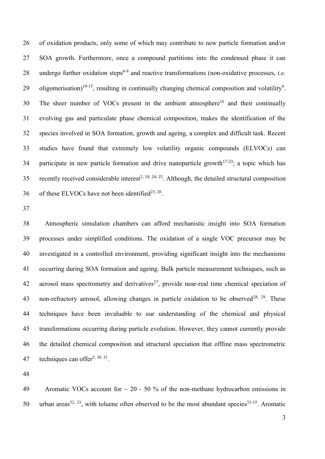of oxidation products, only some of which may contribute to new particle formation and/or SOA growth. Furthermore, once a compound partitions into the condensed phase it can 28 undergo further oxidation steps<sup>6-9</sup> and reactive transformations (non-oxidative processes, *i.e.* 29 oligomerisation)<sup>10-15</sup>, resulting in continually changing chemical composition and volatility<sup>4</sup>. The sheer number of VOCs present in the ambient atmosphere<sup>16</sup> and their continually evolving gas and particulate phase chemical composition, makes the identification of the species involved in SOA formation, growth and ageing, a complex and difficult task. Recent studies have found that extremely low volatility organic compounds (ELVOCs) can 34 participate in new particle formation and drive nanoparticle growth<sup>17-23</sup>; a topic which has 35 recently received considerable interest<sup>2, 18, 24, 25</sup>. Although, the detailed structural composition 36 of these ELVOCs have not been identified<sup>23, 26</sup>.

 Atmospheric simulation chambers can afford mechanistic insight into SOA formation processes under simplified conditions. The oxidation of a single VOC precursor may be investigated in a controlled environment, providing significant insight into the mechanisms occurring during SOA formation and ageing. Bulk particle measurement techniques, such as 42 aerosol mass spectrometry and derivatives<sup>27</sup>, provide near-real time chemical speciation of 43 non-refractory aerosol, allowing changes in particle oxidation to be observed<sup>28, 29</sup>. These techniques have been invaluable to our understanding of the chemical and physical transformations occurring during particle evolution. However, they cannot currently provide the detailed chemical composition and structural speciation that offline mass spectrometric 47 techniques can offer<sup>5, 30, 31</sup>.

49 Aromatic VOCs account for  $\sim$  20 - 50 % of the non-methane hydrocarbon emissions in 50 urban areas<sup>32, 33</sup>, with toluene often observed to be the most abundant species<sup>33-35</sup>. Aromatic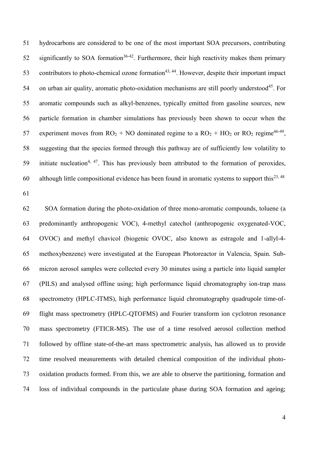hydrocarbons are considered to be one of the most important SOA precursors, contributing 52 significantly to SOA formation<sup>36-42</sup>. Furthermore, their high reactivity makes them primary 53 contributors to photo-chemical ozone formation<sup>43, 44</sup>. However, despite their important impact 54 on urban air quality, aromatic photo-oxidation mechanisms are still poorly understood<sup>45</sup>. For aromatic compounds such as alkyl-benzenes, typically emitted from gasoline sources, new particle formation in chamber simulations has previously been shown to occur when the 57 experiment moves from  $RO<sub>2</sub> + NO$  dominated regime to a  $RO<sub>2</sub> + HO<sub>2</sub>$  or  $RO<sub>2</sub>$  regime<sup>46-49</sup>, suggesting that the species formed through this pathway are of sufficiently low volatility to 59 initiate nucleation<sup>4, 47</sup>. This has previously been attributed to the formation of peroxides, 60 although little compositional evidence has been found in aromatic systems to support this<sup>23, 48</sup>

 SOA formation during the photo-oxidation of three mono-aromatic compounds, toluene (a predominantly anthropogenic VOC), 4-methyl catechol (anthropogenic oxygenated-VOC, OVOC) and methyl chavicol (biogenic OVOC, also known as estragole and 1-allyl-4- methoxybenzene) were investigated at the European Photoreactor in Valencia, Spain. Sub- micron aerosol samples were collected every 30 minutes using a particle into liquid sampler (PILS) and analysed offline using; high performance liquid chromatography ion-trap mass spectrometry (HPLC-ITMS), high performance liquid chromatography quadrupole time-of- flight mass spectrometry (HPLC-QTOFMS) and Fourier transform ion cyclotron resonance mass spectrometry (FTICR-MS). The use of a time resolved aerosol collection method followed by offline state-of-the-art mass spectrometric analysis, has allowed us to provide time resolved measurements with detailed chemical composition of the individual photo- oxidation products formed. From this, we are able to observe the partitioning, formation and loss of individual compounds in the particulate phase during SOA formation and ageing;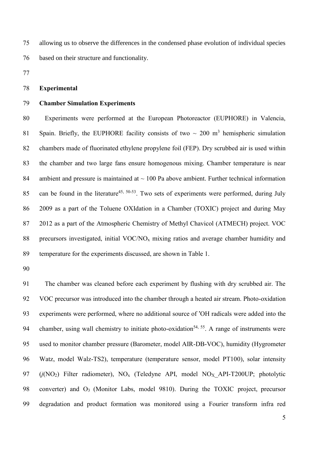allowing us to observe the differences in the condensed phase evolution of individual species based on their structure and functionality.

# **Experimental**

## **Chamber Simulation Experiments**

 Experiments were performed at the European Photoreactor (EUPHORE) in Valencia, 81 Spain. Briefly, the EUPHORE facility consists of two  $\sim 200$  m<sup>3</sup> hemispheric simulation chambers made of fluorinated ethylene propylene foil (FEP). Dry scrubbed air is used within the chamber and two large fans ensure homogenous mixing. Chamber temperature is near 84 ambient and pressure is maintained at  $\sim$  100 Pa above ambient. Further technical information 85 can be found in the literature<sup>45, 50-53</sup>. Two sets of experiments were performed, during July 2009 as a part of the Toluene OXIdation in a Chamber (TOXIC) project and during May 2012 as a part of the Atmospheric Chemistry of Methyl Chavicol (ATMECH) project. VOC precursors investigated, initial VOC/NO<sup>x</sup> mixing ratios and average chamber humidity and temperature for the experiments discussed, are shown in Table 1.

 The chamber was cleaned before each experiment by flushing with dry scrubbed air. The VOC precursor was introduced into the chamber through a heated air stream. Photo-oxidation 93 experiments were performed, where no additional source of 'OH radicals were added into the 94 chamber, using wall chemistry to initiate photo-oxidation<sup>54, 55</sup>. A range of instruments were used to monitor chamber pressure (Barometer, model AIR-DB-VOC), humidity (Hygrometer Watz, model Walz-TS2), temperature (temperature sensor, model PT100), solar intensity (*j*(NO2) Filter radiometer), NO<sup>x</sup> (Teledyne API, model NOX\_API-T200UP; photolytic converter) and O3 (Monitor Labs, model 9810). During the TOXIC project, precursor degradation and product formation was monitored using a Fourier transform infra red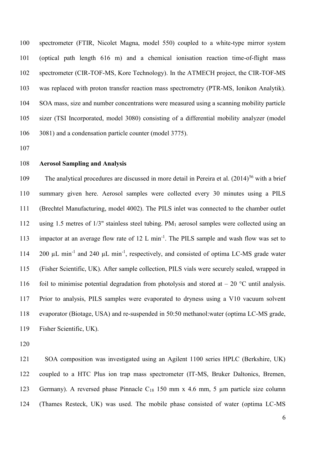spectrometer (FTIR, Nicolet Magna, model 550) coupled to a white-type mirror system (optical path length 616 m) and a chemical ionisation reaction time-of-flight mass spectrometer (CIR-TOF-MS, Kore Technology). In the ATMECH project, the CIR-TOF-MS was replaced with proton transfer reaction mass spectrometry (PTR-MS, Ionikon Analytik). SOA mass, size and number concentrations were measured using a scanning mobility particle sizer (TSI Incorporated, model 3080) consisting of a differential mobility analyzer (model 3081) and a condensation particle counter (model 3775).

#### **Aerosol Sampling and Analysis**

109 The analytical procedures are discussed in more detail in Pereira et al.  $(2014)^{56}$  with a brief summary given here. Aerosol samples were collected every 30 minutes using a PILS (Brechtel Manufacturing, model 4002). The PILS inlet was connected to the chamber outlet using 1.5 metres of 1/3" stainless steel tubing. PM<sup>1</sup> aerosol samples were collected using an 113 impactor at an average flow rate of 12 L min<sup>-1</sup>. The PILS sample and wash flow was set to 114 200 μL min<sup>-1</sup> and 240 μL min<sup>-1</sup>, respectively, and consisted of optima LC-MS grade water (Fisher Scientific, UK). After sample collection, PILS vials were securely sealed, wrapped in 116 foil to minimise potential degradation from photolysis and stored at  $-$  20 °C until analysis. Prior to analysis, PILS samples were evaporated to dryness using a V10 vacuum solvent evaporator (Biotage, USA) and re-suspended in 50:50 methanol:water (optima LC-MS grade, Fisher Scientific, UK).

 SOA composition was investigated using an Agilent 1100 series HPLC (Berkshire, UK) coupled to a HTC Plus ion trap mass spectrometer (IT-MS, Bruker Daltonics, Bremen, Germany). A reversed phase Pinnacle C<sup>18</sup> 150 mm x 4.6 mm, 5 µm particle size column (Thames Resteck, UK) was used. The mobile phase consisted of water (optima LC-MS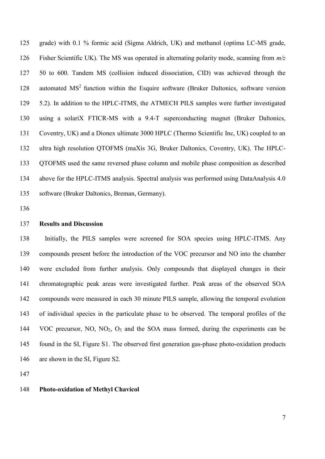grade) with 0.1 % formic acid (Sigma Aldrich, UK) and methanol (optima LC-MS grade, Fisher Scientific UK). The MS was operated in alternating polarity mode, scanning from *m/z* 50 to 600. Tandem MS (collision induced dissociation, CID) was achieved through the 128 automated  $MS<sup>2</sup>$  function within the Esquire software (Bruker Daltonics, software version 5.2). In addition to the HPLC-ITMS, the ATMECH PILS samples were further investigated using a solariX FTICR-MS with a 9.4-T superconducting magnet (Bruker Daltonics, Coventry, UK) and a Dionex ultimate 3000 HPLC (Thermo Scientific Inc, UK) coupled to an ultra high resolution QTOFMS (maXis 3G, Bruker Daltonics, Coventry, UK). The HPLC- QTOFMS used the same reversed phase column and mobile phase composition as described above for the HPLC-ITMS analysis. Spectral analysis was performed using DataAnalysis 4.0 software (Bruker Daltonics, Breman, Germany).

## **Results and Discussion**

 Initially, the PILS samples were screened for SOA species using HPLC-ITMS. Any compounds present before the introduction of the VOC precursor and NO into the chamber were excluded from further analysis. Only compounds that displayed changes in their chromatographic peak areas were investigated further. Peak areas of the observed SOA compounds were measured in each 30 minute PILS sample, allowing the temporal evolution of individual species in the particulate phase to be observed. The temporal profiles of the VOC precursor, NO, NO2, O<sup>3</sup> and the SOA mass formed, during the experiments can be found in the SI, Figure S1. The observed first generation gas-phase photo-oxidation products are shown in the SI, Figure S2.

# **Photo-oxidation of Methyl Chavicol**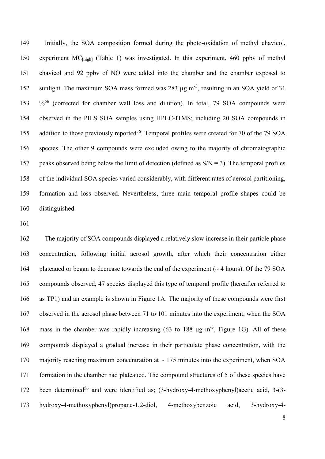Initially, the SOA composition formed during the photo-oxidation of methyl chavicol, experiment MC[high] (Table 1) was investigated. In this experiment, 460 ppbv of methyl chavicol and 92 ppbv of NO were added into the chamber and the chamber exposed to 152 sunlight. The maximum SOA mass formed was 283 µg m<sup>-3</sup>, resulting in an SOA yield of 31 153 %<sup>56</sup> (corrected for chamber wall loss and dilution). In total, 79 SOA compounds were observed in the PILS SOA samples using HPLC-ITMS; including 20 SOA compounds in 155 addition to those previously reported<sup>56</sup>. Temporal profiles were created for 70 of the 79 SOA species. The other 9 compounds were excluded owing to the majority of chromatographic 157 peaks observed being below the limit of detection (defined as  $S/N = 3$ ). The temporal profiles of the individual SOA species varied considerably, with different rates of aerosol partitioning, formation and loss observed. Nevertheless, three main temporal profile shapes could be distinguished.

 The majority of SOA compounds displayed a relatively slow increase in their particle phase concentration, following initial aerosol growth, after which their concentration either 164 plateaued or began to decrease towards the end of the experiment  $($   $\sim$  4 hours). Of the 79 SOA compounds observed, 47 species displayed this type of temporal profile (hereafter referred to as TP1) and an example is shown in Figure 1A. The majority of these compounds were first observed in the aerosol phase between 71 to 101 minutes into the experiment, when the SOA 168 mass in the chamber was rapidly increasing  $(63 \text{ to } 188 \text{ µg m}^{-3})$ , Figure 1G). All of these compounds displayed a gradual increase in their particulate phase concentration, with the 170 majority reaching maximum concentration at  $\sim$  175 minutes into the experiment, when SOA formation in the chamber had plateaued. The compound structures of 5 of these species have 172 been determined<sup>56</sup> and were identified as;  $(3-hydroxy-4-methoxyphenyl)$  acetic acid,  $3-(3-4)$ hydroxy-4-methoxyphenyl)propane-1,2-diol, 4-methoxybenzoic acid, 3-hydroxy-4-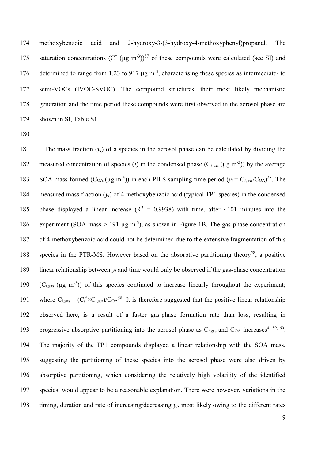methoxybenzoic acid and 2-hydroxy-3-(3-hydroxy-4-methoxyphenyl)propanal. The 175 saturation concentrations  $(C^*(\mu g \text{ m}^{-3}))^{57}$  of these compounds were calculated (see SI) and 176 determined to range from 1.23 to 917 µg m<sup>-3</sup>, characterising these species as intermediate- to semi-VOCs (IVOC-SVOC). The compound structures, their most likely mechanistic generation and the time period these compounds were first observed in the aerosol phase are shown in SI, Table S1.

180

181 The mass fraction  $(v_i)$  of a species in the aerosol phase can be calculated by dividing the 182 measured concentration of species (*i*) in the condensed phase  $(C_{i, \text{aer}} (\mu g m^{-3}))$  by the average 183 SOA mass formed  $(C_{OA} (\mu g m^{-3}))$  in each PILS sampling time period  $(y_i = C_{i, \text{aer}} / C_{OA})^{58}$ . The 184 measured mass fraction (*yi*) of 4-methoxybenzoic acid (typical TP1 species) in the condensed 185 phase displayed a linear increase ( $R^2 = 0.9938$ ) with time, after ~101 minutes into the 186 experiment (SOA mass  $> 191 \mu g$  m<sup>-3</sup>), as shown in Figure 1B. The gas-phase concentration 187 of 4-methoxybenzoic acid could not be determined due to the extensive fragmentation of this 188 species in the PTR-MS. However based on the absorptive partitioning theory<sup>58</sup>, a positive 189 linear relationship between  $y_i$  and time would only be observed if the gas-phase concentration 190  $(C<sub>i,gas</sub> (\mu g m<sup>-3</sup>))$  of this species continued to increase linearly throughout the experiment; 191 where  $C_{i,gas} = (C_i^* \times C_{i,ger})/C_{OA}^{58}$ . It is therefore suggested that the positive linear relationship 192 observed here, is a result of a faster gas-phase formation rate than loss, resulting in progressive absorptive partitioning into the aerosol phase as  $C_{i,gas}$  and  $C_{OA}$  increases<sup>4, 59, 60</sup>. 194 The majority of the TP1 compounds displayed a linear relationship with the SOA mass, 195 suggesting the partitioning of these species into the aerosol phase were also driven by 196 absorptive partitioning, which considering the relatively high volatility of the identified 197 species, would appear to be a reasonable explanation. There were however, variations in the 198 timing, duration and rate of increasing/decreasing  $y_i$ , most likely owing to the different rates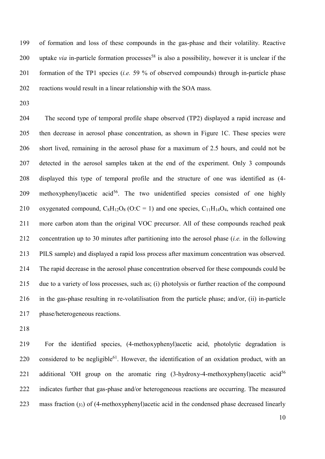of formation and loss of these compounds in the gas-phase and their volatility. Reactive 200 uptake *via* in-particle formation processes<sup>58</sup> is also a possibility, however it is unclear if the formation of the TP1 species (*i.e.* 59 % of observed compounds) through in-particle phase reactions would result in a linear relationship with the SOA mass.

 The second type of temporal profile shape observed (TP2) displayed a rapid increase and then decrease in aerosol phase concentration, as shown in Figure 1C. These species were short lived, remaining in the aerosol phase for a maximum of 2.5 hours, and could not be detected in the aerosol samples taken at the end of the experiment. Only 3 compounds displayed this type of temporal profile and the structure of one was identified as (4- 209 methoxyphenyl)acetic acid<sup>56</sup>. The two unidentified species consisted of one highly 210 oxygenated compound,  $C_8H_{12}O_8$  (O:C = 1) and one species,  $C_{11}H_{14}O_4$ , which contained one more carbon atom than the original VOC precursor. All of these compounds reached peak concentration up to 30 minutes after partitioning into the aerosol phase (*i.e.* in the following PILS sample) and displayed a rapid loss process after maximum concentration was observed. The rapid decrease in the aerosol phase concentration observed for these compounds could be due to a variety of loss processes, such as; (i) photolysis or further reaction of the compound in the gas-phase resulting in re-volatilisation from the particle phase; and/or, (ii) in-particle phase/heterogeneous reactions.

 For the identified species, (4-methoxyphenyl)acetic acid, photolytic degradation is 220 considered to be negligible<sup>61</sup>. However, the identification of an oxidation product, with an 221 additional  $\overline{O}$ H group on the aromatic ring (3-hydroxy-4-methoxyphenyl) acetic acid<sup>56</sup> indicates further that gas-phase and/or heterogeneous reactions are occurring. The measured 223 mass fraction  $(v_i)$  of (4-methoxyphenyl) acetic acid in the condensed phase decreased linearly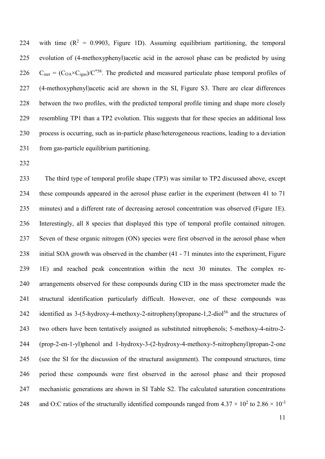224 with time  $(R^2 = 0.9903,$  Figure 1D). Assuming equilibrium partitioning, the temporal evolution of (4-methoxyphenyl)acetic acid in the aerosol phase can be predicted by using  $C_{i\text{aer}} = (C_{OA} \times C_{i\text{gas}})/C^{*58}$ . The predicted and measured particulate phase temporal profiles of (4-methoxyphenyl)acetic acid are shown in the SI, Figure S3. There are clear differences between the two profiles, with the predicted temporal profile timing and shape more closely resembling TP1 than a TP2 evolution. This suggests that for these species an additional loss process is occurring, such as in-particle phase/heterogeneous reactions, leading to a deviation from gas-particle equilibrium partitioning.

 The third type of temporal profile shape (TP3) was similar to TP2 discussed above, except these compounds appeared in the aerosol phase earlier in the experiment (between 41 to 71 minutes) and a different rate of decreasing aerosol concentration was observed (Figure 1E). Interestingly, all 8 species that displayed this type of temporal profile contained nitrogen. Seven of these organic nitrogen (ON) species were first observed in the aerosol phase when initial SOA growth was observed in the chamber (41 - 71 minutes into the experiment, Figure 1E) and reached peak concentration within the next 30 minutes. The complex re- arrangements observed for these compounds during CID in the mass spectrometer made the structural identification particularly difficult. However, one of these compounds was 242 identified as  $3-(5-hydroxy-4-methoxy-2-nitrophenyl)$ propane-1,2-diol<sup>56</sup> and the structures of two others have been tentatively assigned as substituted nitrophenols; 5-methoxy-4-nitro-2- (prop-2-en-1-yl)phenol and 1-hydroxy-3-(2-hydroxy-4-methoxy-5-nitrophenyl)propan-2-one (see the SI for the discussion of the structural assignment). The compound structures, time period these compounds were first observed in the aerosol phase and their proposed mechanistic generations are shown in SI Table S2. The calculated saturation concentrations and O:C ratios of the structurally identified compounds ranged from  $4.37 \times 10^2$  to  $2.86 \times 10^{-3}$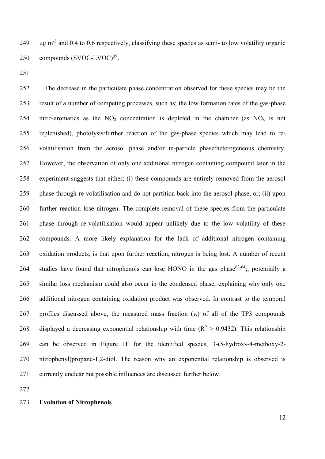249 µg m<sup>-3</sup> and 0.4 to 0.6 respectively, classifying these species as semi- to low volatility organic 250 compounds  $(SVOC-LVOC)^{39}$ .

 The decrease in the particulate phase concentration observed for these species may be the result of a number of competing processes, such as; the low formation rates of the gas-phase 254 nitro-aromatics as the  $NO<sub>2</sub>$  concentration is depleted in the chamber (as  $NO<sub>x</sub>$  is not replenished), photolysis/further reaction of the gas-phase species which may lead to re- volatilisation from the aerosol phase and/or in-particle phase/heterogeneous chemistry. However, the observation of only one additional nitrogen containing compound later in the experiment suggests that either; (i) these compounds are entirely removed from the aerosol phase through re-volatilisation and do not partition back into the aerosol phase, or; (ii) upon further reaction lose nitrogen. The complete removal of these species from the particulate phase through re-volatilisation would appear unlikely due to the low volatility of these compounds. A more likely explanation for the lack of additional nitrogen containing oxidation products, is that upon further reaction, nitrogen is being lost. A number of recent 264 studies have found that nitrophenols can lose HONO in the gas phase<sup>62-64</sup>; potentially a similar loss mechanism could also occur in the condensed phase, explaining why only one additional nitrogen containing oxidation product was observed. In contrast to the temporal 267 profiles discussed above, the measured mass fraction  $(y_i)$  of all of the TP3 compounds 268 displayed a decreasing exponential relationship with time  $(R^2 > 0.9432)$ . This relationship can be observed in Figure 1F for the identified species, 3-(5-hydroxy-4-methoxy-2- nitrophenyl)propane-1,2-diol. The reason why an exponential relationship is observed is currently unclear but possible influences are discussed further below.

#### **Evolution of Nitrophenols**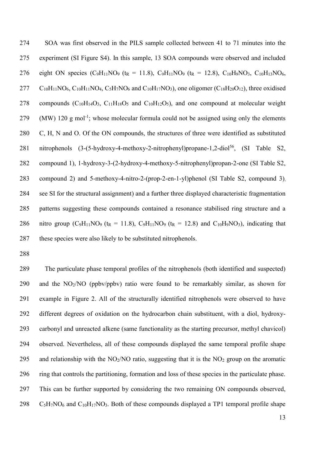SOA was first observed in the PILS sample collected between 41 to 71 minutes into the experiment (SI Figure S4). In this sample, 13 SOA compounds were observed and included 276 eight ON species  $(C_9H_{11}NO_9$  (t<sub>R</sub> = 11.8),  $C_9H_{11}NO_9$  (t<sub>R</sub> = 12.8),  $C_{10}H_9NO_3$ ,  $C_{10}H_{13}NO_6$ ,  $277 \text{ C}_{10}H_{11}NO_6$ ,  $C_{10}H_{11}NO_4$ ,  $C_5H_7NO_6$  and  $C_{10}H_{17}NO_3$ ), one oligomer ( $C_{18}H_{20}O_{12}$ ), three oxidised 278 compounds  $(C_{10}H_{14}O_3, C_{11}H_{18}O_5$  and  $C_{10}H_{12}O_5$ ), and one compound at molecular weight 279 (MW) 120 g mol<sup>-1</sup>; whose molecular formula could not be assigned using only the elements C, H, N and O. Of the ON compounds, the structures of three were identified as substituted 281 nitrophenols  $(3-(5-hydroxy-4-methoxy-2-nitrophenyl)propane-1,2-diol<sup>56</sup>, (SI Table S2,$  compound 1), 1-hydroxy-3-(2-hydroxy-4-methoxy-5-nitrophenyl)propan-2-one (SI Table S2, compound 2) and 5-methoxy-4-nitro-2-(prop-2-en-1-yl)phenol (SI Table S2, compound 3), see SI for the structural assignment) and a further three displayed characteristic fragmentation patterns suggesting these compounds contained a resonance stabilised ring structure and a 286 nitro group (C<sub>9</sub>H<sub>11</sub>NO<sub>9</sub> (t<sub>R</sub> = 11.8), C<sub>9</sub>H<sub>11</sub>NO<sub>9</sub> (t<sub>R</sub> = 12.8) and C<sub>10</sub>H<sub>9</sub>NO<sub>3</sub>), indicating that these species were also likely to be substituted nitrophenols.

 The particulate phase temporal profiles of the nitrophenols (both identified and suspected) and the NO2/NO (ppbv/ppbv) ratio were found to be remarkably similar, as shown for example in Figure 2. All of the structurally identified nitrophenols were observed to have different degrees of oxidation on the hydrocarbon chain substituent, with a diol, hydroxy- carbonyl and unreacted alkene (same functionality as the starting precursor, methyl chavicol) observed. Nevertheless, all of these compounds displayed the same temporal profile shape 295 and relationship with the  $NO<sub>2</sub>/NO$  ratio, suggesting that it is the  $NO<sub>2</sub>$  group on the aromatic ring that controls the partitioning, formation and loss of these species in the particulate phase. This can be further supported by considering the two remaining ON compounds observed,  $C_5H_7NO_6$  and  $C_{10}H_{17}NO_3$ . Both of these compounds displayed a TP1 temporal profile shape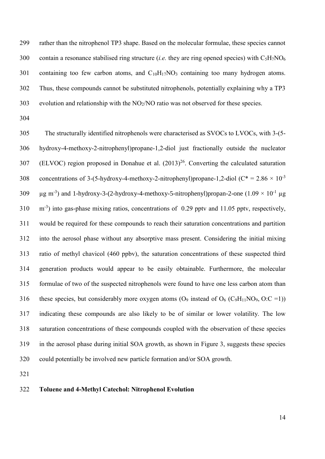rather than the nitrophenol TP3 shape. Based on the molecular formulae, these species cannot contain a resonance stabilised ring structure (*i.e.* they are ring opened species) with C5H7NO<sup>6</sup> 301 containing too few carbon atoms, and  $C_{10}H_{17}NO_3$  containing too many hydrogen atoms. Thus, these compounds cannot be substituted nitrophenols, potentially explaining why a TP3 evolution and relationship with the NO2/NO ratio was not observed for these species.

 The structurally identified nitrophenols were characterised as SVOCs to LVOCs, with 3-(5- hydroxy-4-methoxy-2-nitrophenyl)propane-1,2-diol just fractionally outside the nucleator (ELVOC) region proposed in Donahue et al.  $(2013)^{26}$ . Converting the calculated saturation concentrations of 3-(5-hydroxy-4-methoxy-2-nitrophenyl)propane-1,2-diol ( $C^* = 2.86 \times 10^{-3}$   $\mu$ g m<sup>-3</sup>) and 1-hydroxy-3-(2-hydroxy-4-methoxy-5-nitrophenyl)propan-2-one (1.09  $\times$  10<sup>-1</sup>  $\mu$ g 310 m<sup>-3</sup>) into gas-phase mixing ratios, concentrations of 0.29 pptv and 11.05 pptv, respectively, would be required for these compounds to reach their saturation concentrations and partition into the aerosol phase without any absorptive mass present. Considering the initial mixing ratio of methyl chavicol (460 ppbv), the saturation concentrations of these suspected third generation products would appear to be easily obtainable. Furthermore, the molecular formulae of two of the suspected nitrophenols were found to have one less carbon atom than 316 these species, but considerably more oxygen atoms  $(O_9$  instead of  $O_6$  ( $C_9H_{11}NO_9$ ,  $O:C =1$ )) indicating these compounds are also likely to be of similar or lower volatility. The low saturation concentrations of these compounds coupled with the observation of these species in the aerosol phase during initial SOA growth, as shown in Figure 3, suggests these species could potentially be involved new particle formation and/or SOA growth.

#### **Toluene and 4-Methyl Catechol: Nitrophenol Evolution**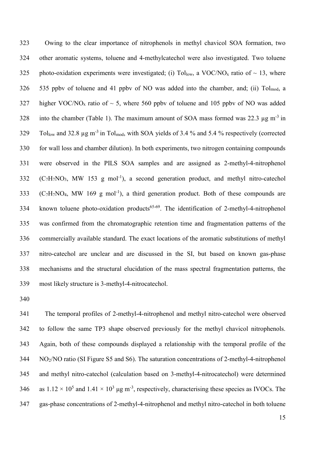Owing to the clear importance of nitrophenols in methyl chavicol SOA formation, two other aromatic systems, toluene and 4-methylcatechol were also investigated. Two toluene 325 photo-oxidation experiments were investigated; (i) Tollow, a VOC/NO<sub>x</sub> ratio of  $\sim$  13, where 535 ppbv of toluene and 41 ppbv of NO was added into the chamber, and; (ii) Tolmod, a 327 higher VOC/NO<sub>x</sub> ratio of  $\sim$  5, where 560 ppbv of toluene and 105 ppbv of NO was added 328 into the chamber (Table 1). The maximum amount of SOA mass formed was 22.3  $\mu$ g m<sup>-3</sup> in Tollow and 32.8  $\mu$ g m<sup>-3</sup> in Tol<sub>mod</sub>, with SOA yields of 3.4 % and 5.4 % respectively (corrected for wall loss and chamber dilution). In both experiments, two nitrogen containing compounds were observed in the PILS SOA samples and are assigned as 2-methyl-4-nitrophenol (C<sub>7</sub>H<sub>7</sub>NO<sub>3</sub>, MW 153 g mol<sup>-1</sup>), a second generation product, and methyl nitro-catechol  $(C_7H_7NO_4, MW 169 g mol<sup>-1</sup>)$ , a third generation product. Both of these compounds are 334 known toluene photo-oxidation products<sup>65-69</sup>. The identification of 2-methyl-4-nitrophenol was confirmed from the chromatographic retention time and fragmentation patterns of the commercially available standard. The exact locations of the aromatic substitutions of methyl nitro-catechol are unclear and are discussed in the SI, but based on known gas-phase mechanisms and the structural elucidation of the mass spectral fragmentation patterns, the most likely structure is 3-methyl-4-nitrocatechol.

 The temporal profiles of 2-methyl-4-nitrophenol and methyl nitro-catechol were observed to follow the same TP3 shape observed previously for the methyl chavicol nitrophenols. Again, both of these compounds displayed a relationship with the temporal profile of the NO2/NO ratio (SI Figure S5 and S6). The saturation concentrations of 2-methyl-4-nitrophenol and methyl nitro-catechol (calculation based on 3-methyl-4-nitrocatechol) were determined 346 as  $1.12 \times 10^5$  and  $1.41 \times 10^3$  µg m<sup>-3</sup>, respectively, characterising these species as IVOCs. The gas-phase concentrations of 2-methyl-4-nitrophenol and methyl nitro-catechol in both toluene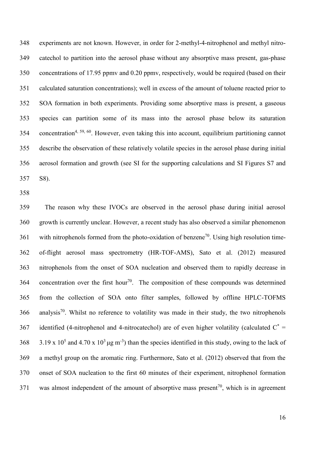experiments are not known. However, in order for 2-methyl-4-nitrophenol and methyl nitro- catechol to partition into the aerosol phase without any absorptive mass present, gas-phase concentrations of 17.95 ppmv and 0.20 ppmv, respectively, would be required (based on their calculated saturation concentrations); well in excess of the amount of toluene reacted prior to SOA formation in both experiments. Providing some absorptive mass is present, a gaseous species can partition some of its mass into the aerosol phase below its saturation 354 concentration<sup>4, 59, 60</sup>. However, even taking this into account, equilibrium partitioning cannot describe the observation of these relatively volatile species in the aerosol phase during initial aerosol formation and growth (see SI for the supporting calculations and SI Figures S7 and S8).

 The reason why these IVOCs are observed in the aerosol phase during initial aerosol growth is currently unclear. However, a recent study has also observed a similar phenomenon 361 with nitrophenols formed from the photo-oxidation of benzene<sup>70</sup>. Using high resolution time- of-flight aerosol mass spectrometry (HR-TOF-AMS), Sato et al. (2012) measured nitrophenols from the onset of SOA nucleation and observed them to rapidly decrease in 364 concentration over the first hour<sup>70</sup>. The composition of these compounds was determined from the collection of SOA onto filter samples, followed by offline HPLC-TOFMS analysis<sup>70</sup>. Whilst no reference to volatility was made in their study, the two nitrophenols 367 identified (4-nitrophenol and 4-nitrocatechol) are of even higher volatility (calculated  $C^*$  = 368 3.19 x 10<sup>5</sup> and 4.70 x 10<sup>3</sup>  $\mu$ g m<sup>-3</sup>) than the species identified in this study, owing to the lack of a methyl group on the aromatic ring. Furthermore, Sato et al. (2012) observed that from the onset of SOA nucleation to the first 60 minutes of their experiment, nitrophenol formation 371 was almost independent of the amount of absorptive mass present<sup>70</sup>, which is in agreement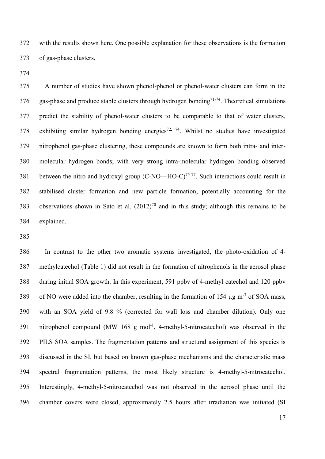with the results shown here. One possible explanation for these observations is the formation of gas-phase clusters.

 A number of studies have shown phenol-phenol or phenol-water clusters can form in the 376 gas-phase and produce stable clusters through hydrogen bonding<sup>71-74</sup>. Theoretical simulations predict the stability of phenol-water clusters to be comparable to that of water clusters, 378 exhibiting similar hydrogen bonding energies<sup>72, 74</sup>. Whilst no studies have investigated nitrophenol gas-phase clustering, these compounds are known to form both intra- and inter- molecular hydrogen bonds; with very strong intra-molecular hydrogen bonding observed 381 between the nitro and hydroxyl group  $(C-NO-HO-C)^{75-77}$ . Such interactions could result in stabilised cluster formation and new particle formation, potentially accounting for the 383 observations shown in Sato et al.  $(2012)^{70}$  and in this study; although this remains to be explained.

 In contrast to the other two aromatic systems investigated, the photo-oxidation of 4- methylcatechol (Table 1) did not result in the formation of nitrophenols in the aerosol phase during initial SOA growth. In this experiment, 591 ppbv of 4-methyl catechol and 120 ppbv 389 of NO were added into the chamber, resulting in the formation of 154  $\mu$ g m<sup>-3</sup> of SOA mass, with an SOA yield of 9.8 % (corrected for wall loss and chamber dilution). Only one 391 nitrophenol compound (MW 168 g mol<sup>-1</sup>, 4-methyl-5-nitrocatechol) was observed in the PILS SOA samples. The fragmentation patterns and structural assignment of this species is discussed in the SI, but based on known gas-phase mechanisms and the characteristic mass spectral fragmentation patterns, the most likely structure is 4-methyl-5-nitrocatechol. Interestingly, 4-methyl-5-nitrocatechol was not observed in the aerosol phase until the chamber covers were closed, approximately 2.5 hours after irradiation was initiated (SI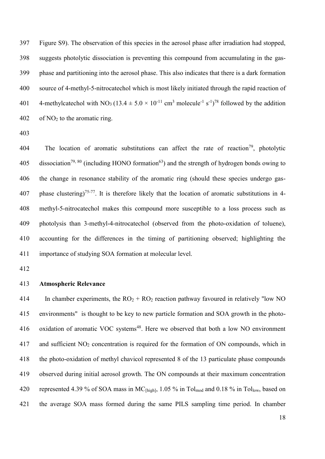Figure S9). The observation of this species in the aerosol phase after irradiation had stopped, suggests photolytic dissociation is preventing this compound from accumulating in the gas- phase and partitioning into the aerosol phase. This also indicates that there is a dark formation source of 4-methyl-5-nitrocatechol which is most likely initiated through the rapid reaction of 401 4-methylcatechol with NO<sub>3</sub> (13.4  $\pm$  5.0  $\times$  10<sup>-11</sup> cm<sup>3</sup> molecule<sup>-1</sup> s<sup>-1</sup>)<sup>78</sup> followed by the addition of NO<sub>2</sub> to the aromatic ring.

404 . The location of aromatic substitutions can affect the rate of reaction<sup>79</sup>, photolytic 405 dissociation<sup>79, 80</sup> (including HONO formation<sup>63</sup>) and the strength of hydrogen bonds owing to the change in resonance stability of the aromatic ring (should these species undergo gas-407 phase clustering)<sup>75-77</sup>. It is therefore likely that the location of aromatic substitutions in 4- methyl-5-nitrocatechol makes this compound more susceptible to a loss process such as photolysis than 3-methyl-4-nitrocatechol (observed from the photo-oxidation of toluene), accounting for the differences in the timing of partitioning observed; highlighting the importance of studying SOA formation at molecular level.

## **Atmospheric Relevance**

414 In chamber experiments, the  $RO<sub>2</sub> + RO<sub>2</sub>$  reaction pathway favoured in relatively "low NO environments" is thought to be key to new particle formation and SOA growth in the photo-416 oxidation of aromatic VOC systems<sup>48</sup>. Here we observed that both a low NO environment and sufficient NO<sup>2</sup> concentration is required for the formation of ON compounds, which in the photo-oxidation of methyl chavicol represented 8 of the 13 particulate phase compounds observed during initial aerosol growth. The ON compounds at their maximum concentration 420 represented 4.39 % of SOA mass in MC<sub>[high]</sub>, 1.05 % in Tol<sub>mod</sub> and 0.18 % in Tol<sub>low</sub>, based on the average SOA mass formed during the same PILS sampling time period. In chamber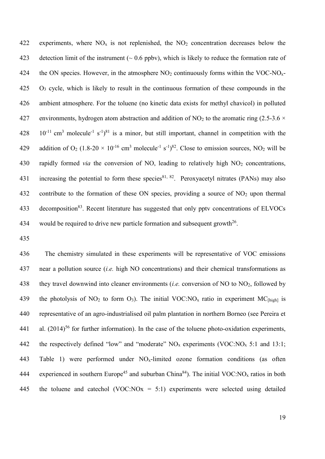422 experiments, where  $NO<sub>x</sub>$  is not replenished, the  $NO<sub>2</sub>$  concentration decreases below the 423 detection limit of the instrument  $(0.6 \text{ pb})$ , which is likely to reduce the formation rate of 424 the ON species. However, in the atmosphere  $NO<sub>2</sub>$  continuously forms within the VOC-NO<sub>x</sub>-425 O<sup>3</sup> cycle, which is likely to result in the continuous formation of these compounds in the 426 ambient atmosphere. For the toluene (no kinetic data exists for methyl chavicol) in polluted 427 environments, hydrogen atom abstraction and addition of NO<sub>2</sub> to the aromatic ring (2.5-3.6  $\times$  $10^{-11}$  cm<sup>3</sup> molecule<sup>-1</sup> s<sup>-1</sup>)<sup>81</sup> is a minor, but still important, channel in competition with the 429 addition of  $O_2$  (1.8-20  $\times$  10<sup>-16</sup> cm<sup>3</sup> molecule<sup>-1</sup> s<sup>-1</sup>)<sup>82</sup>. Close to emission sources, NO<sub>2</sub> will be 430 rapidly formed *via* the conversion of NO, leading to relatively high NO<sub>2</sub> concentrations, 431 increasing the potential to form these species<sup>81, 82</sup>. Peroxyacetyl nitrates (PANs) may also 432 contribute to the formation of these ON species, providing a source of NO<sub>2</sub> upon thermal 433 decomposition<sup>83</sup>. Recent literature has suggested that only ppty concentrations of ELVOCs 434 would be required to drive new particle formation and subsequent growth<sup>26</sup>.

435

436 The chemistry simulated in these experiments will be representative of VOC emissions 437 near a pollution source (*i.e.* high NO concentrations) and their chemical transformations as 438 they travel downwind into cleaner environments (*i.e.* conversion of NO to NO2, followed by 439 the photolysis of NO<sub>2</sub> to form O<sub>3</sub>). The initial VOC:NO<sub>x</sub> ratio in experiment MC<sub>[high]</sub> is 440 representative of an agro-industrialised oil palm plantation in northern Borneo (see Pereira et 441 al.  $(2014)^{56}$  for further information). In the case of the toluene photo-oxidation experiments, 442 the respectively defined "low" and "moderate"  $NO<sub>x</sub>$  experiments (VOC: $NO<sub>x</sub> 5:1$  and 13:1; 443 Table 1) were performed under  $NO<sub>x</sub>$ -limited ozone formation conditions (as often 444 experienced in southern Europe<sup>45</sup> and suburban China<sup>84</sup>). The initial VOC:NO<sub>x</sub> ratios in both 445 the toluene and catechol (VOC:NO $x = 5:1$ ) experiments were selected using detailed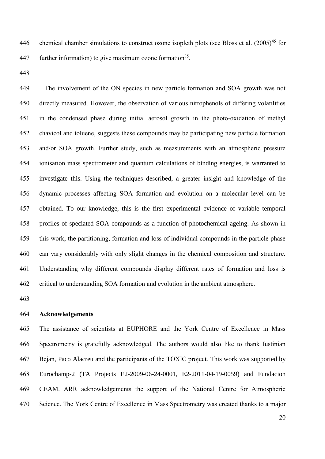446 chemical chamber simulations to construct ozone isopleth plots (see Bloss et al.  $(2005)^{45}$  for 447 further information) to give maximum ozone formation<sup>85</sup>.

 The involvement of the ON species in new particle formation and SOA growth was not directly measured. However, the observation of various nitrophenols of differing volatilities in the condensed phase during initial aerosol growth in the photo-oxidation of methyl chavicol and toluene, suggests these compounds may be participating new particle formation and/or SOA growth. Further study, such as measurements with an atmospheric pressure ionisation mass spectrometer and quantum calculations of binding energies, is warranted to investigate this. Using the techniques described, a greater insight and knowledge of the dynamic processes affecting SOA formation and evolution on a molecular level can be obtained. To our knowledge, this is the first experimental evidence of variable temporal profiles of speciated SOA compounds as a function of photochemical ageing. As shown in this work, the partitioning, formation and loss of individual compounds in the particle phase can vary considerably with only slight changes in the chemical composition and structure. Understanding why different compounds display different rates of formation and loss is critical to understanding SOA formation and evolution in the ambient atmosphere.

## **Acknowledgements**

 The assistance of scientists at EUPHORE and the York Centre of Excellence in Mass Spectrometry is gratefully acknowledged. The authors would also like to thank Iustinian Bejan, Paco Alacreu and the participants of the TOXIC project. This work was supported by Eurochamp-2 (TA Projects E2-2009-06-24-0001, E2-2011-04-19-0059) and Fundacion CEAM. ARR acknowledgements the support of the National Centre for Atmospheric Science. The York Centre of Excellence in Mass Spectrometry was created thanks to a major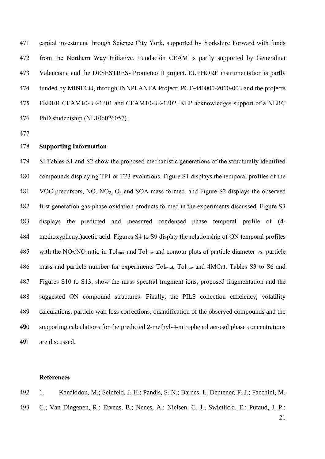capital investment through Science City York, supported by Yorkshire Forward with funds from the Northern Way Initiative. Fundación CEAM is partly supported by Generalitat Valenciana and the DESESTRES- Prometeo II project. EUPHORE instrumentation is partly funded by MINECO, through INNPLANTA Project: PCT-440000-2010-003 and the projects FEDER CEAM10-3E-1301 and CEAM10-3E-1302. KEP acknowledges support of a NERC PhD studentship (NE106026057).

# **Supporting Information**

 SI Tables S1 and S2 show the proposed mechanistic generations of the structurally identified compounds displaying TP1 or TP3 evolutions. Figure S1 displays the temporal profiles of the VOC precursors, NO, NO2, O<sup>3</sup> and SOA mass formed, and Figure S2 displays the observed first generation gas-phase oxidation products formed in the experiments discussed. Figure S3 displays the predicted and measured condensed phase temporal profile of (4- methoxyphenyl)acetic acid. Figures S4 to S9 display the relationship of ON temporal profiles with the NO2/NO ratio in Tolmod and Tollow and contour plots of particle diameter *vs.* particle 486 mass and particle number for experiments  $Tol_{mod}$ ,  $Tol_{low}$  and 4MCat. Tables S3 to S6 and Figures S10 to S13, show the mass spectral fragment ions, proposed fragmentation and the suggested ON compound structures. Finally, the PILS collection efficiency, volatility calculations, particle wall loss corrections, quantification of the observed compounds and the supporting calculations for the predicted 2-methyl-4-nitrophenol aerosol phase concentrations are discussed.

#### **References**

 1. Kanakidou, M.; Seinfeld, J. H.; Pandis, S. N.; Barnes, I.; Dentener, F. J.; Facchini, M. C.; Van Dingenen, R.; Ervens, B.; Nenes, A.; Nielsen, C. J.; Swietlicki, E.; Putaud, J. P.;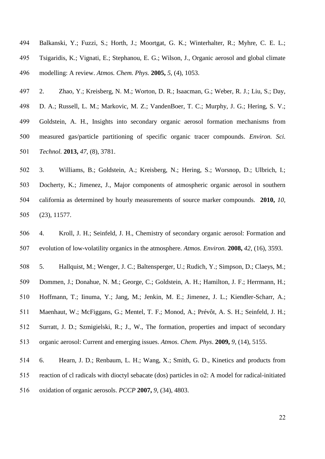Balkanski, Y.; Fuzzi, S.; Horth, J.; Moortgat, G. K.; Winterhalter, R.; Myhre, C. E. L.; Tsigaridis, K.; Vignati, E.; Stephanou, E. G.; Wilson, J., Organic aerosol and global climate modelling: A review. *Atmos. Chem. Phys.* **2005,** *5*, (4), 1053.

 2. Zhao, Y.; Kreisberg, N. M.; Worton, D. R.; Isaacman, G.; Weber, R. J.; Liu, S.; Day, D. A.; Russell, L. M.; Markovic, M. Z.; VandenBoer, T. C.; Murphy, J. G.; Hering, S. V.; Goldstein, A. H., Insights into secondary organic aerosol formation mechanisms from measured gas/particle partitioning of specific organic tracer compounds. *Environ. Sci. Technol.* **2013,** *47*, (8), 3781.

 3. Williams, B.; Goldstein, A.; Kreisberg, N.; Hering, S.; Worsnop, D.; Ulbrich, I.; Docherty, K.; Jimenez, J., Major components of atmospheric organic aerosol in southern california as determined by hourly measurements of source marker compounds. **2010,** *10*, (23), 11577.

 4. Kroll, J. H.; Seinfeld, J. H., Chemistry of secondary organic aerosol: Formation and evolution of low-volatility organics in the atmosphere. *Atmos. Environ.* **2008,** *42*, (16), 3593.

 5. Hallquist, M.; Wenger, J. C.; Baltensperger, U.; Rudich, Y.; Simpson, D.; Claeys, M.; Dommen, J.; Donahue, N. M.; George, C.; Goldstein, A. H.; Hamilton, J. F.; Herrmann, H.; Hoffmann, T.; Iinuma, Y.; Jang, M.; Jenkin, M. E.; Jimenez, J. L.; Kiendler-Scharr, A.; Maenhaut, W.; McFiggans, G.; Mentel, T. F.; Monod, A.; Prévôt, A. S. H.; Seinfeld, J. H.; Surratt, J. D.; Szmigielski, R.; J., W., The formation, properties and impact of secondary organic aerosol: Current and emerging issues. *Atmos. Chem. Phys*. **2009,** *9*, (14), 5155.

 6. Hearn, J. D.; Renbaum, L. H.; Wang, X.; Smith, G. D., Kinetics and products from reaction of cl radicals with dioctyl sebacate (dos) particles in o2: A model for radical-initiated oxidation of organic aerosols. *PCCP* **2007,** *9*, (34), 4803.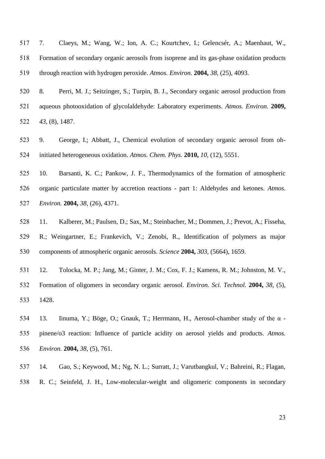7. Claeys, M.; Wang, W.; Ion, A. C.; Kourtchev, I.; Gelencsér, A.; Maenhaut, W., Formation of secondary organic aerosols from isoprene and its gas-phase oxidation products through reaction with hydrogen peroxide. *Atmos. Environ.* **2004,** *38*, (25), 4093.

 8. Perri, M. J.; Seitzinger, S.; Turpin, B. J., Secondary organic aerosol production from aqueous photooxidation of glycolaldehyde: Laboratory experiments. *Atmos. Environ.* **2009,** *43*, (8), 1487.

 9. George, I.; Abbatt, J., Chemical evolution of secondary organic aerosol from oh-initiated heterogeneous oxidation. *Atmos. Chem. Phys*. **2010,** *10*, (12), 5551.

 10. Barsanti, K. C.; Pankow, J. F., Thermodynamics of the formation of atmospheric organic particulate matter by accretion reactions - part 1: Aldehydes and ketones. *Atmos. Environ.* **2004,** *38*, (26), 4371.

 11. Kalberer, M.; Paulsen, D.; Sax, M.; Steinbacher, M.; Dommen, J.; Prevot, A.; Fisseha, R.; Weingartner, E.; Frankevich, V.; Zenobi, R., Identification of polymers as major components of atmospheric organic aerosols. *Science* **2004,** *303*, (5664), 1659.

 12. Tolocka, M. P.; Jang, M.; Ginter, J. M.; Cox, F. J.; Kamens, R. M.; Johnston, M. V., Formation of oligomers in secondary organic aerosol. *Environ. Sci. Technol.* **2004,** *38*, (5), 1428.

 13. Iinuma, Y.; Böge, O.; Gnauk, T.; Herrmann, H., Aerosol-chamber study of the α - pinene/o3 reaction: Influence of particle acidity on aerosol yields and products. *Atmos. Environ.* **2004,** *38*, (5), 761.

 14. Gao, S.; Keywood, M.; Ng, N. L.; Surratt, J.; Varutbangkul, V.; Bahreini, R.; Flagan, R. C.; Seinfeld, J. H., Low-molecular-weight and oligomeric components in secondary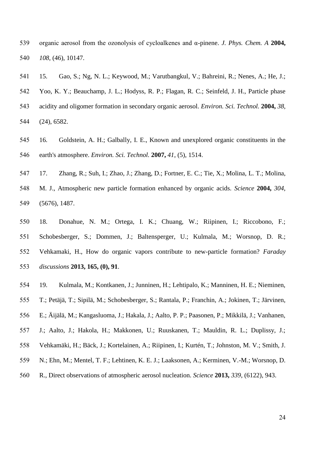organic aerosol from the ozonolysis of cycloalkenes and α-pinene. *J. Phys. Chem. A* **2004,** *108*, (46), 10147.

 15. Gao, S.; Ng, N. L.; Keywood, M.; Varutbangkul, V.; Bahreini, R.; Nenes, A.; He, J.; Yoo, K. Y.; Beauchamp, J. L.; Hodyss, R. P.; Flagan, R. C.; Seinfeld, J. H., Particle phase acidity and oligomer formation in secondary organic aerosol. *Environ. Sci. Technol.* **2004,** *38*, (24), 6582.

 16. Goldstein, A. H.; Galbally, I. E., Known and unexplored organic constituents in the earth's atmosphere. *Environ. Sci. Technol.* **2007,** *41*, (5), 1514.

 17. Zhang, R.; Suh, I.; Zhao, J.; Zhang, D.; Fortner, E. C.; Tie, X.; Molina, L. T.; Molina, M. J., Atmospheric new particle formation enhanced by organic acids. *Science* **2004,** *304*, (5676), 1487.

 18. Donahue, N. M.; Ortega, I. K.; Chuang, W.; Riipinen, I.; Riccobono, F.; Schobesberger, S.; Dommen, J.; Baltensperger, U.; Kulmala, M.; Worsnop, D. R.; Vehkamaki, H., How do organic vapors contribute to new-particle formation? *Faraday discussions* **2013, 165, (0), 91**.

19. Kulmala, M.; Kontkanen, J.; Junninen, H.; Lehtipalo, K.; Manninen, H. E.; Nieminen,

T.; Petäjä, T.; Sipilä, M.; Schobesberger, S.; Rantala, P.; Franchin, A.; Jokinen, T.; Järvinen,

E.; Äijälä, M.; Kangasluoma, J.; Hakala, J.; Aalto, P. P.; Paasonen, P.; Mikkilä, J.; Vanhanen,

J.; Aalto, J.; Hakola, H.; Makkonen, U.; Ruuskanen, T.; Mauldin, R. L.; Duplissy, J.;

Vehkamäki, H.; Bäck, J.; Kortelainen, A.; Riipinen, I.; Kurtén, T.; Johnston, M. V.; Smith, J.

N.; Ehn, M.; Mentel, T. F.; Lehtinen, K. E. J.; Laaksonen, A.; Kerminen, V.-M.; Worsnop, D.

R., Direct observations of atmospheric aerosol nucleation. *Science* **2013,** *339*, (6122), 943.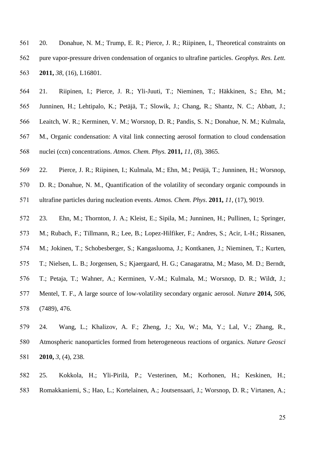20. Donahue, N. M.; Trump, E. R.; Pierce, J. R.; Riipinen, I., Theoretical constraints on pure vapor-pressure driven condensation of organics to ultrafine particles. *Geophys. Res. Lett.*  **2011,** *38*, (16), L16801.

 21. Riipinen, I.; Pierce, J. R.; Yli-Juuti, T.; Nieminen, T.; Häkkinen, S.; Ehn, M.; Junninen, H.; Lehtipalo, K.; Petäjä, T.; Slowik, J.; Chang, R.; Shantz, N. C.; Abbatt, J.; Leaitch, W. R.; Kerminen, V. M.; Worsnop, D. R.; Pandis, S. N.; Donahue, N. M.; Kulmala, M., Organic condensation: A vital link connecting aerosol formation to cloud condensation nuclei (ccn) concentrations. *Atmos. Chem. Phys.* **2011,** *11*, (8), 3865.

22. Pierce, J. R.; Riipinen, I.; Kulmala, M.; Ehn, M.; Petäjä, T.; Junninen, H.; Worsnop,

D. R.; Donahue, N. M., Quantification of the volatility of secondary organic compounds in

ultrafine particles during nucleation events. *Atmos. Chem. Phys*. **2011,** *11*, (17), 9019.

23. Ehn, M.; Thornton, J. A.; Kleist, E.; Sipila, M.; Junninen, H.; Pullinen, I.; Springer,

M.; Rubach, F.; Tillmann, R.; Lee, B.; Lopez-Hilfiker, F.; Andres, S.; Acir, I.-H.; Rissanen,

M.; Jokinen, T.; Schobesberger, S.; Kangasluoma, J.; Kontkanen, J.; Nieminen, T.; Kurten,

T.; Nielsen, L. B.; Jorgensen, S.; Kjaergaard, H. G.; Canagaratna, M.; Maso, M. D.; Berndt,

T.; Petaja, T.; Wahner, A.; Kerminen, V.-M.; Kulmala, M.; Worsnop, D. R.; Wildt, J.;

 Mentel, T. F., A large source of low-volatility secondary organic aerosol. *Nature* **2014,** *506*, (7489), 476.

 24. Wang, L.; Khalizov, A. F.; Zheng, J.; Xu, W.; Ma, Y.; Lal, V.; Zhang, R., Atmospheric nanoparticles formed from heterogeneous reactions of organics. *Nature Geosci*  **2010,** *3*, (4), 238.

 25. Kokkola, H.; Yli-Pirilä, P.; Vesterinen, M.; Korhonen, H.; Keskinen, H.; Romakkaniemi, S.; Hao, L.; Kortelainen, A.; Joutsensaari, J.; Worsnop, D. R.; Virtanen, A.;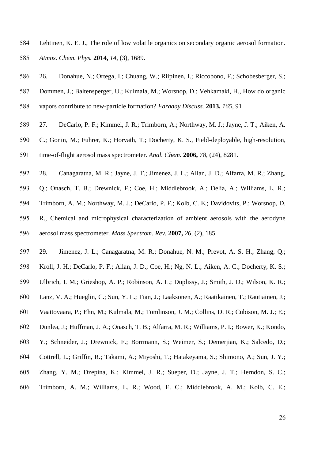- Lehtinen, K. E. J., The role of low volatile organics on secondary organic aerosol formation. *Atmos. Chem. Phys.* **2014,** *14*, (3), 1689.
- 26. Donahue, N.; Ortega, I.; Chuang, W.; Riipinen, I.; Riccobono, F.; Schobesberger, S.;
- Dommen, J.; Baltensperger, U.; Kulmala, M.; Worsnop, D.; Vehkamaki, H., How do organic
- vapors contribute to new-particle formation? *Faraday Discuss.* **2013,** *165*, 91
- 27. DeCarlo, P. F.; Kimmel, J. R.; Trimborn, A.; Northway, M. J.; Jayne, J. T.; Aiken, A.
- C.; Gonin, M.; Fuhrer, K.; Horvath, T.; Docherty, K. S., Field-deployable, high-resolution,
- time-of-flight aerosol mass spectrometer. *Anal. Chem.* **2006,** *78*, (24), 8281.
- 28. Canagaratna, M. R.; Jayne, J. T.; Jimenez, J. L.; Allan, J. D.; Alfarra, M. R.; Zhang,
- Q.; Onasch, T. B.; Drewnick, F.; Coe, H.; Middlebrook, A.; Delia, A.; Williams, L. R.;
- Trimborn, A. M.; Northway, M. J.; DeCarlo, P. F.; Kolb, C. E.; Davidovits, P.; Worsnop, D.
- R., Chemical and microphysical characterization of ambient aerosols with the aerodyne aerosol mass spectrometer. *Mass Spectrom. Rev.* **2007,** *26*, (2), 185.
- 29. Jimenez, J. L.; Canagaratna, M. R.; Donahue, N. M.; Prevot, A. S. H.; Zhang, Q.;
- Kroll, J. H.; DeCarlo, P. F.; Allan, J. D.; Coe, H.; Ng, N. L.; Aiken, A. C.; Docherty, K. S.;
- Ulbrich, I. M.; Grieshop, A. P.; Robinson, A. L.; Duplissy, J.; Smith, J. D.; Wilson, K. R.;
- Lanz, V. A.; Hueglin, C.; Sun, Y. L.; Tian, J.; Laaksonen, A.; Raatikainen, T.; Rautiainen, J.;
- Vaattovaara, P.; Ehn, M.; Kulmala, M.; Tomlinson, J. M.; Collins, D. R.; Cubison, M. J.; E.;
- Dunlea, J.; Huffman, J. A.; Onasch, T. B.; Alfarra, M. R.; Williams, P. I.; Bower, K.; Kondo,
- Y.; Schneider, J.; Drewnick, F.; Borrmann, S.; Weimer, S.; Demerjian, K.; Salcedo, D.;
- Cottrell, L.; Griffin, R.; Takami, A.; Miyoshi, T.; Hatakeyama, S.; Shimono, A.; Sun, J. Y.;
- Zhang, Y. M.; Dzepina, K.; Kimmel, J. R.; Sueper, D.; Jayne, J. T.; Herndon, S. C.;
- Trimborn, A. M.; Williams, L. R.; Wood, E. C.; Middlebrook, A. M.; Kolb, C. E.;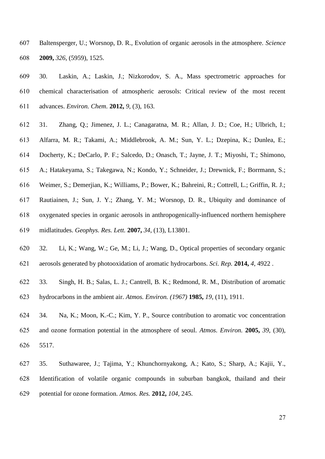- Baltensperger, U.; Worsnop, D. R., Evolution of organic aerosols in the atmosphere. *Science*  **2009,** *326*, (5959), 1525.
- 30. Laskin, A.; Laskin, J.; Nizkorodov, S. A., Mass spectrometric approaches for chemical characterisation of atmospheric aerosols: Critical review of the most recent advances. *Environ. Chem.* **2012,** *9*, (3), 163.
- 31. Zhang, Q.; Jimenez, J. L.; Canagaratna, M. R.; Allan, J. D.; Coe, H.; Ulbrich, I.;
- Alfarra, M. R.; Takami, A.; Middlebrook, A. M.; Sun, Y. L.; Dzepina, K.; Dunlea, E.;
- Docherty, K.; DeCarlo, P. F.; Salcedo, D.; Onasch, T.; Jayne, J. T.; Miyoshi, T.; Shimono,
- A.; Hatakeyama, S.; Takegawa, N.; Kondo, Y.; Schneider, J.; Drewnick, F.; Borrmann, S.;
- Weimer, S.; Demerjian, K.; Williams, P.; Bower, K.; Bahreini, R.; Cottrell, L.; Griffin, R. J.;
- Rautiainen, J.; Sun, J. Y.; Zhang, Y. M.; Worsnop, D. R., Ubiquity and dominance of
- oxygenated species in organic aerosols in anthropogenically-influenced northern hemisphere
- midlatitudes. *Geophys. Res. Lett.* **2007,** *34*, (13), L13801.
- 32. Li, K.; Wang, W.; Ge, M.; Li, J.; Wang, D., Optical properties of secondary organic aerosols generated by photooxidation of aromatic hydrocarbons. *Sci. Rep.* **2014,** *4*, 4922 .
- 33. Singh, H. B.; Salas, L. J.; Cantrell, B. K.; Redmond, R. M., Distribution of aromatic
- hydrocarbons in the ambient air. *Atmos. Environ. (1967)* **1985,** *19*, (11), 1911.
- 34. Na, K.; Moon, K.-C.; Kim, Y. P., Source contribution to aromatic voc concentration and ozone formation potential in the atmosphere of seoul. *Atmos. Environ.* **2005,** *39*, (30), 5517.
- 35. Suthawaree, J.; Tajima, Y.; Khunchornyakong, A.; Kato, S.; Sharp, A.; Kajii, Y., Identification of volatile organic compounds in suburban bangkok, thailand and their potential for ozone formation. *Atmos. Res.* **2012,** *104*, 245.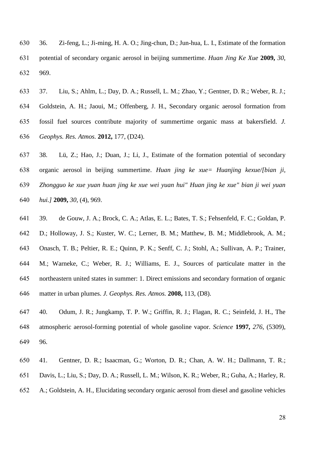36. Zi-feng, L.; Ji-ming, H. A. O.; Jing-chun, D.; Jun-hua, L. I., Estimate of the formation potential of secondary organic aerosol in beijing summertime. *Huan Jing Ke Xue* **2009,** *30*, 969.

 37. Liu, S.; Ahlm, L.; Day, D. A.; Russell, L. M.; Zhao, Y.; Gentner, D. R.; Weber, R. J.; Goldstein, A. H.; Jaoui, M.; Offenberg, J. H., Secondary organic aerosol formation from fossil fuel sources contribute majority of summertime organic mass at bakersfield. *J. Geophys. Res. Atmos.* **2012,** 177, (D24).

 38. Lü, Z.; Hao, J.; Duan, J.; Li, J., Estimate of the formation potential of secondary organic aerosol in beijing summertime. *Huan jing ke xue= Huanjing kexue/[bian ji, Zhongguo ke xue yuan huan jing ke xue wei yuan hui" Huan jing ke xue" bian ji wei yuan hui.]* **2009,** *30*, (4), 969.

 39. de Gouw, J. A.; Brock, C. A.; Atlas, E. L.; Bates, T. S.; Fehsenfeld, F. C.; Goldan, P. D.; Holloway, J. S.; Kuster, W. C.; Lerner, B. M.; Matthew, B. M.; Middlebrook, A. M.; Onasch, T. B.; Peltier, R. E.; Quinn, P. K.; Senff, C. J.; Stohl, A.; Sullivan, A. P.; Trainer, M.; Warneke, C.; Weber, R. J.; Williams, E. J., Sources of particulate matter in the northeastern united states in summer: 1. Direct emissions and secondary formation of organic matter in urban plumes. *J. Geophys. Res. Atmos.* **2008,** 113, (D8).

 40. Odum, J. R.; Jungkamp, T. P. W.; Griffin, R. J.; Flagan, R. C.; Seinfeld, J. H., The atmospheric aerosol-forming potential of whole gasoline vapor. *Science* **1997,** *276*, (5309), 96.

- 41. Gentner, D. R.; Isaacman, G.; Worton, D. R.; Chan, A. W. H.; Dallmann, T. R.;
- Davis, L.; Liu, S.; Day, D. A.; Russell, L. M.; Wilson, K. R.; Weber, R.; Guha, A.; Harley, R.
- A.; Goldstein, A. H., Elucidating secondary organic aerosol from diesel and gasoline vehicles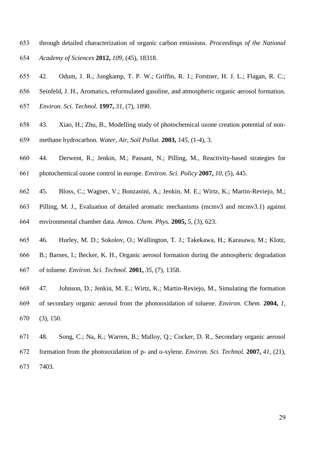- through detailed characterization of organic carbon emissions. *Proceedings of the National Academy of Sciences* **2012,** *109*, (45), 18318.
- 42. Odum, J. R.; Jungkamp, T. P. W.; Griffin, R. J.; Forstner, H. J. L.; Flagan, R. C.;
- Seinfeld, J. H., Aromatics, reformulated gasoline, and atmospheric organic aerosol formation.
- *Environ. Sci. Technol.* **1997,** *31*, (7), 1890.
- 43. Xiao, H.; Zhu, B., Modelling study of photochemical ozone creation potential of non-methane hydrocarbon. *Water, Air, Soil Pollut.* **2003,** *145*, (1-4), 3.
- 44. Derwent, R.; Jenkin, M.; Passant, N.; Pilling, M., Reactivity-based strategies for
- photochemical ozone control in europe. *Environ. Sci. Policy* **2007,** *10*, (5), 445.
- 45. Bloss, C.; Wagner, V.; Bonzanini, A.; Jenkin, M. E.; Wirtz, K.; Martin-Reviejo, M.;
- Pilling, M. J., Evaluation of detailed aromatic mechanisms (mcmv3 and mcmv3.1) against environmental chamber data. *Atmos. Chem. Phys.* **2005,** *5*, (3), 623.
- 46. Hurley, M. D.; Sokolov, O.; Wallington, T. J.; Takekawa, H.; Karasawa, M.; Klotz, B.; Barnes, I.; Becker, K. H., Organic aerosol formation during the atmospheric degradation
- of toluene. *Environ. Sci. Technol.* **2001,** *35*, (7), 1358.
- 47. Johnson, D.; Jenkin, M. E.; Wirtz, K.; Martin-Reviejo, M., Simulating the formation of secondary organic aerosol from the photooxidation of toluene. *Environ. Chem.* **2004,** *1*, (3), 150.
- 48. Song, C.; Na, K.; Warren, B.; Malloy, Q.; Cocker, D. R., Secondary organic aerosol formation from the photooxidation of p- and o-xylene. *Environ. Sci. Technol.* **2007,** *41*, (21), 7403.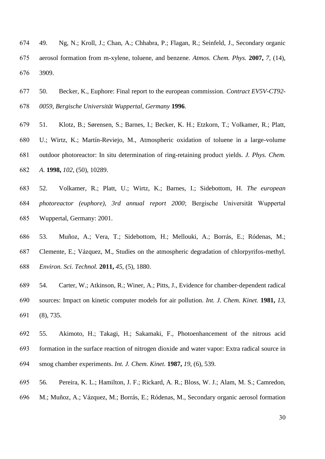- 49. Ng, N.; Kroll, J.; Chan, A.; Chhabra, P.; Flagan, R.; Seinfeld, J., Secondary organic aerosol formation from m-xylene, toluene, and benzene. *Atmos. Chem. Phys.* **2007,** *7*, (14), 3909.
- 50. Becker, K., Euphore: Final report to the european commission. *Contract EV5V-CT92- 0059, Bergische Universität Wuppertal, Germany* **1996**.
- 51. Klotz, B.; Sørensen, S.; Barnes, I.; Becker, K. H.; Etzkorn, T.; Volkamer, R.; Platt, U.; Wirtz, K.; Martín-Reviejo, M., Atmospheric oxidation of toluene in a large-volume outdoor photoreactor: In situ determination of ring-retaining product yields. *J. Phys. Chem. A.* **1998,** *102*, (50), 10289.
- 52. Volkamer, R.; Platt, U.; Wirtz, K.; Barnes, I.; Sidebottom, H. *The european photoreactor (euphore), 3rd annual report 2000*; Bergische Universität Wuppertal Wuppertal, Germany: 2001.
- 53. Muñoz, A.; Vera, T.; Sidebottom, H.; Mellouki, A.; Borrás, E.; Ródenas, M.; Clemente, E.; Vázquez, M., Studies on the atmospheric degradation of chlorpyrifos-methyl. *Environ. Sci. Technol.* **2011,** *45*, (5), 1880.
- 54. Carter, W.; Atkinson, R.; Winer, A.; Pitts, J., Evidence for chamber‐dependent radical sources: Impact on kinetic computer models for air pollution. *Int. J. Chem. Kinet.* **1981,** *13*, (8), 735.
- 55. Akimoto, H.; Takagi, H.; Sakamaki, F., Photoenhancement of the nitrous acid formation in the surface reaction of nitrogen dioxide and water vapor: Extra radical source in smog chamber experiments. *Int. J. Chem. Kinet.* **1987,** *19*, (6), 539.
- 56. Pereira, K. L.; Hamilton, J. F.; Rickard, A. R.; Bloss, W. J.; Alam, M. S.; Camredon, M.; Muñoz, A.; Vázquez, M.; Borrás, E.; Ródenas, M., Secondary organic aerosol formation
	-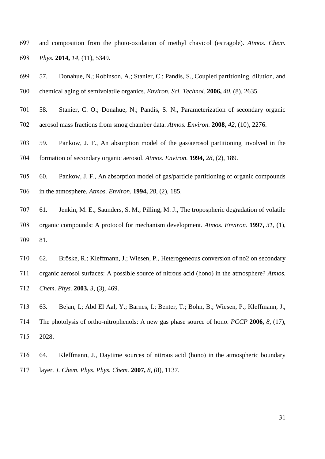and composition from the photo-oxidation of methyl chavicol (estragole). *Atmos. Chem. Phys.* **2014,** *14*, (11), 5349.

- 57. Donahue, N.; Robinson, A.; Stanier, C.; Pandis, S., Coupled partitioning, dilution, and chemical aging of semivolatile organics. *Environ. Sci. Technol.* **2006,** *40*, (8), 2635. 58. Stanier, C. O.; Donahue, N.; Pandis, S. N., Parameterization of secondary organic aerosol mass fractions from smog chamber data. *Atmos. Environ.* **2008,** *42*, (10), 2276. 59. Pankow, J. F., An absorption model of the gas/aerosol partitioning involved in the formation of secondary organic aerosol. *Atmos. Environ.* **1994,** *28*, (2), 189. 60. Pankow, J. F., An absorption model of gas/particle partitioning of organic compounds in the atmosphere. *Atmos. Environ.* **1994,** *28*, (2), 185. 61. Jenkin, M. E.; Saunders, S. M.; Pilling, M. J., The tropospheric degradation of volatile organic compounds: A protocol for mechanism development. *Atmos. Environ.* **1997,** *31*, (1), 81. 62. Bröske, R.; Kleffmann, J.; Wiesen, P., Heterogeneous conversion of no2 on secondary organic aerosol surfaces: A possible source of nitrous acid (hono) in the atmosphere? *Atmos.*
- *Chem. Phys.* **2003,** *3*, (3), 469.

 63. Bejan, I.; Abd El Aal, Y.; Barnes, I.; Benter, T.; Bohn, B.; Wiesen, P.; Kleffmann, J., The photolysis of ortho-nitrophenols: A new gas phase source of hono. *PCCP* **2006,** *8*, (17), 2028.

 64. Kleffmann, J., Daytime sources of nitrous acid (hono) in the atmospheric boundary layer. *J. Chem. Phys. Phys. Chem.* **2007,** *8*, (8), 1137.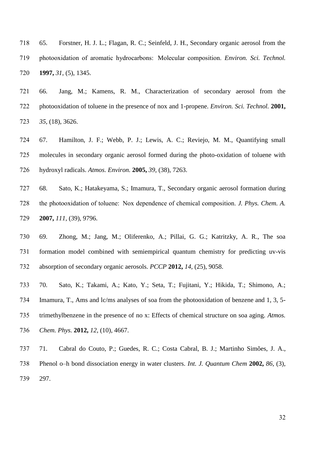65. Forstner, H. J. L.; Flagan, R. C.; Seinfeld, J. H., Secondary organic aerosol from the photooxidation of aromatic hydrocarbons:  Molecular composition. *Environ. Sci. Technol.*  **1997,** *31*, (5), 1345.

 66. Jang, M.; Kamens, R. M., Characterization of secondary aerosol from the photooxidation of toluene in the presence of nox and 1-propene. *Environ. Sci. Technol.* **2001,** *35*, (18), 3626.

 67. Hamilton, J. F.; Webb, P. J.; Lewis, A. C.; Reviejo, M. M., Quantifying small molecules in secondary organic aerosol formed during the photo-oxidation of toluene with hydroxyl radicals. *Atmos. Environ.* **2005,** *39*, (38), 7263.

 68. Sato, K.; Hatakeyama, S.; Imamura, T., Secondary organic aerosol formation during the photooxidation of toluene:  Nox dependence of chemical composition. *J. Phys. Chem. A.* **2007,** *111*, (39), 9796.

 69. Zhong, M.; Jang, M.; Oliferenko, A.; Pillai, G. G.; Katritzky, A. R., The soa formation model combined with semiempirical quantum chemistry for predicting uv-vis absorption of secondary organic aerosols. *PCCP* **2012,** *14*, (25), 9058.

 70. Sato, K.; Takami, A.; Kato, Y.; Seta, T.; Fujitani, Y.; Hikida, T.; Shimono, A.; Imamura, T., Ams and lc/ms analyses of soa from the photooxidation of benzene and 1, 3, 5- trimethylbenzene in the presence of no x: Effects of chemical structure on soa aging. *Atmos. Chem. Phys.* **2012,** *12*, (10), 4667.

 71. Cabral do Couto, P.; Guedes, R. C.; Costa Cabral, B. J.; Martinho Simões, J. A., Phenol o–h bond dissociation energy in water clusters. *Int. J. Quantum Chem* **2002,** *86*, (3), 297.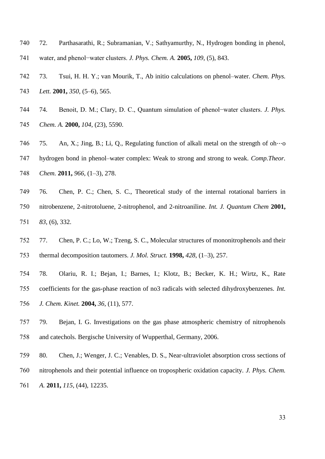- 72. Parthasarathi, R.; Subramanian, V.; Sathyamurthy, N., Hydrogen bonding in phenol,
- water, and phenol−water clusters. *J. Phys. Chem. A.* **2005,** *109*, (5), 843.
- 73. Tsui, H. H. Y.; van Mourik, T., Ab initio calculations on phenol–water. *Chem. Phys.*
- *Lett.* **2001,** *350*, (5–6), 565.
- 74. Benoit, D. M.; Clary, D. C., Quantum simulation of phenol−water clusters. *J. Phys. Chem. A.* **2000,** *104*, (23), 5590.
- 746 75. An, X.; Jing, B.; Li, O., Regulating function of alkali metal on the strength of oh…o
- hydrogen bond in phenol–water complex: Weak to strong and strong to weak. *Comp.Theor. Chem.* **2011,** *966*, (1–3), 278.
- 76. Chen, P. C.; Chen, S. C., Theoretical study of the internal rotational barriers in nitrobenzene, 2-nitrotoluene, 2-nitrophenol, and 2-nitroaniline. *Int. J. Quantum Chem* **2001,** *83*, (6), 332.
- 77. Chen, P. C.; Lo, W.; Tzeng, S. C., Molecular structures of mononitrophenols and their thermal decomposition tautomers. *J. Mol. Struct.* **1998,** *428*, (1–3), 257.
- 78. Olariu, R. I.; Bejan, I.; Barnes, I.; Klotz, B.; Becker, K. H.; Wirtz, K., Rate coefficients for the gas-phase reaction of no3 radicals with selected dihydroxybenzenes. *Int. J. Chem. Kinet.* **2004,** *36*, (11), 577.
- 79. Bejan, I. G. Investigations on the gas phase atmospheric chemistry of nitrophenols and catechols. Bergische University of Wupperthal, Germany, 2006.
- 80. Chen, J.; Wenger, J. C.; Venables, D. S., Near-ultraviolet absorption cross sections of nitrophenols and their potential influence on tropospheric oxidation capacity. *J. Phys. Chem. A.* **2011,** *115*, (44), 12235.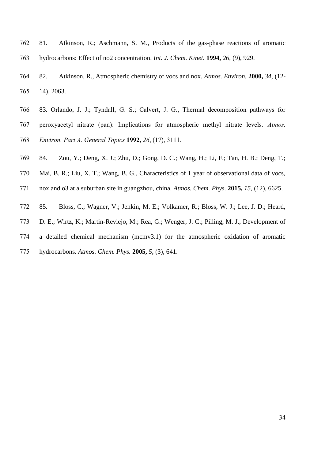- 81. Atkinson, R.; Aschmann, S. M., Products of the gas-phase reactions of aromatic hydrocarbons: Effect of no2 concentration. *Int. J. Chem. Kinet.* **1994,** *26*, (9), 929.
- 82. Atkinson, R., Atmospheric chemistry of vocs and nox. *Atmos. Environ.* **2000,** *34*, (12- 14), 2063.
- 83. Orlando, J. J.; Tyndall, G. S.; Calvert, J. G., Thermal decomposition pathways for peroxyacetyl nitrate (pan): Implications for atmospheric methyl nitrate levels. *Atmos. Environ. Part A. General Topics* **1992,** *26*, (17), 3111.
- 84. Zou, Y.; Deng, X. J.; Zhu, D.; Gong, D. C.; Wang, H.; Li, F.; Tan, H. B.; Deng, T.;
- Mai, B. R.; Liu, X. T.; Wang, B. G., Characteristics of 1 year of observational data of vocs,
- nox and o3 at a suburban site in guangzhou, china. *Atmos. Chem. Phys.* **2015,** *15*, (12), 6625.
- 85. Bloss, C.; Wagner, V.; Jenkin, M. E.; Volkamer, R.; Bloss, W. J.; Lee, J. D.; Heard,
- D. E.; Wirtz, K.; Martin-Reviejo, M.; Rea, G.; Wenger, J. C.; Pilling, M. J., Development of
- a detailed chemical mechanism (mcmv3.1) for the atmospheric oxidation of aromatic
- hydrocarbons. *Atmos. Chem. Phys.* **2005,** *5*, (3), 641.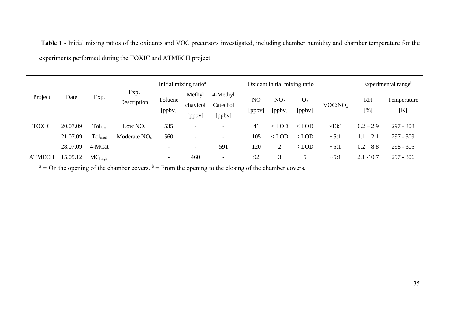**Table 1** - Initial mixing ratios of the oxidants and VOC precursors investigated, including chamber humidity and chamber temperature for the experiments performed during the TOXIC and ATMECH project.

|               | Date     | Exp.                      | Exp.<br>Description | Initial mixing ratio <sup>a</sup> |                              |                                | Oxidant initial mixing ratio <sup>a</sup> |                           |                 |                     | Experimental range <sup>b</sup> |                    |
|---------------|----------|---------------------------|---------------------|-----------------------------------|------------------------------|--------------------------------|-------------------------------------------|---------------------------|-----------------|---------------------|---------------------------------|--------------------|
| Project       |          |                           |                     | Toluene<br>[ppbv]                 | Methyl<br>chavicol<br>[ppbv] | 4-Methyl<br>Catechol<br>[ppbv] | N <sub>O</sub><br>$[$ ppbv $]$            | NO <sub>2</sub><br>[ppbv] | $O_3$<br>[ppbv] | VOC:NO <sub>x</sub> | <b>RH</b><br>[%                 | Temperature<br>[K] |
| <b>TOXIC</b>  | 20.07.09 | $\text{Tol}_{\text{low}}$ | Low $NO_{x}$        | 535                               | $\overline{\phantom{a}}$     | $\overline{\phantom{a}}$       | 41                                        | $<$ LOD                   | $<$ LOD         | ~13:1               | $0.2 - 2.9$                     | $297 - 308$        |
|               | 21.07.09 | $Tol_{mod}$               | Moderate $NOx$      | 560                               |                              | $\overline{\phantom{0}}$       | 105                                       | $<$ LOD                   | $<$ LOD         | $\sim 5:1$          | $1.1 - 2.1$                     | 297 - 309          |
|               | 28.07.09 | 4-MCat                    |                     |                                   |                              | 591                            | 120                                       | 2                         | $<$ LOD         | $\sim 5:1$          | $0.2 - 8.8$                     | $298 - 305$        |
| <b>ATMECH</b> | 15.05.12 | $MC_{[high]}$             |                     | -                                 | 460                          | $\overline{\phantom{0}}$       | 92                                        | 3                         |                 | $\sim 5:1$          | $2.1 - 10.7$                    | $297 - 306$        |

 $a = 0$ n the opening of the chamber covers.  $b =$  From the opening to the closing of the chamber covers.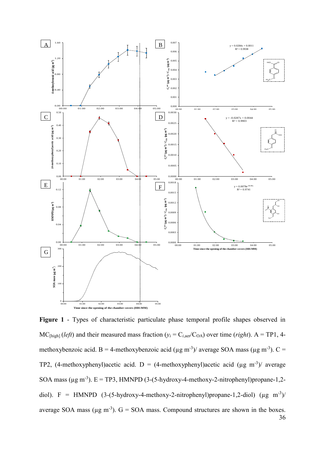

36 **Figure 1** - Types of characteristic particulate phase temporal profile shapes observed in  $MC_{[high]}$  (*left*) and their measured mass fraction ( $y_i = C_{i, \text{aer}}/C_{OA}$ ) over time (*right*). A = TP1, 4methoxybenzoic acid. B = 4-methoxybenzoic acid ( $\mu$ g m<sup>-3</sup>)/ average SOA mass ( $\mu$ g m<sup>-3</sup>). C = TP2, (4-methoxyphenyl)acetic acid. D = (4-methoxyphenyl)acetic acid ( $\mu$ g m<sup>-3</sup>)/ average SOA mass ( $\mu$ g m<sup>-3</sup>). E = TP3, HMNPD (3-(5-hydroxy-4-methoxy-2-nitrophenyl)propane-1,2diol). F = HMNPD  $(3-(5-hydroxy-4-methoxy-2-nitrophenyl)propane-1,2-diol)$  (µg m<sup>-3</sup>)/ average SOA mass ( $\mu$ g m<sup>-3</sup>). G = SOA mass. Compound structures are shown in the boxes.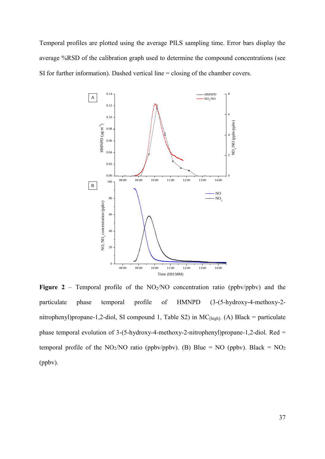Temporal profiles are plotted using the average PILS sampling time. Error bars display the average %RSD of the calibration graph used to determine the compound concentrations (see SI for further information). Dashed vertical line = closing of the chamber covers.



**Figure 2** – Temporal profile of the  $NO<sub>2</sub>/NO$  concentration ratio (ppbv/ppbv) and the particulate phase temporal profile of HMNPD (3-(5-hydroxy-4-methoxy-2 nitrophenyl)propane-1,2-diol, SI compound 1, Table S2) in  $MC_{[high]}$ . (A) Black = particulate phase temporal evolution of 3-(5-hydroxy-4-methoxy-2-nitrophenyl)propane-1,2-diol. Red = temporal profile of the NO<sub>2</sub>/NO ratio (ppbv/ppbv). (B) Blue = NO (ppbv). Black = NO<sub>2</sub> (ppbv).